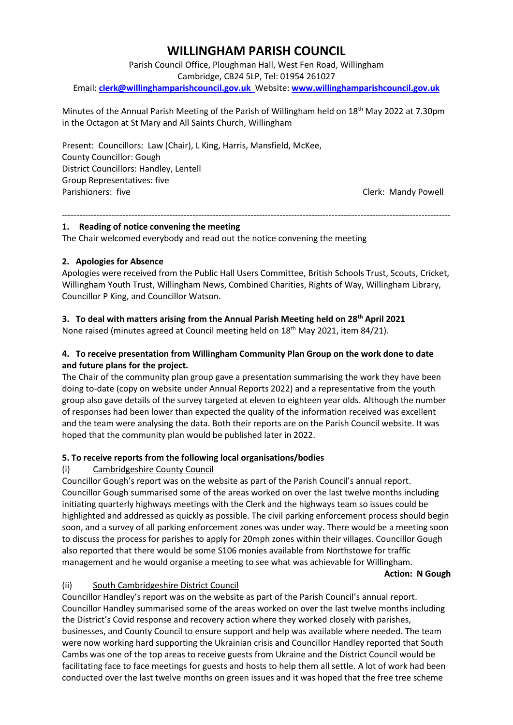# **WILLINGHAM PARISH COUNCIL**

Parish Council Office, Ploughman Hall, West Fen Road, Willingham Cambridge, CB24 5LP, Tel: 01954 261027 Email: **[clerk@willinghamparishcouncil.gov.uk](mailto:clerk@willinghamparishcouncil.gov.uk)** Website: **[www.willinghamparishcouncil.gov.uk](http://www.willinghamparishcouncil.gov.uk/)**

Minutes of the Annual Parish Meeting of the Parish of Willingham held on 18th May 2022 at 7.30pm in the Octagon at St Mary and All Saints Church, Willingham

Present: Councillors: Law (Chair), L King, Harris, Mansfield, McKee, County Councillor: Gough District Councillors: Handley, Lentell Group Representatives: five Parishioners: five Clerk: Mandy Powell

# **1. Reading of notice convening the meeting**

The Chair welcomed everybody and read out the notice convening the meeting

## **2. Apologies for Absence**

Apologies were received from the Public Hall Users Committee, British Schools Trust, Scouts, Cricket, Willingham Youth Trust, Willingham News, Combined Charities, Rights of Way, Willingham Library, Councillor P King, and Councillor Watson.

--------------------------------------------------------------------------------------------------------------------------------------

# **3. To deal with matters arising from the Annual Parish Meeting held on 28th April 2021**

None raised (minutes agreed at Council meeting held on 18th May 2021, item 84/21).

# **4. To receive presentation from Willingham Community Plan Group on the work done to date and future plans for the project.**

The Chair of the community plan group gave a presentation summarising the work they have been doing to-date (copy on website under Annual Reports 2022) and a representative from the youth group also gave details of the survey targeted at eleven to eighteen year olds. Although the number of responses had been lower than expected the quality of the information received was excellent and the team were analysing the data. Both their reports are on the Parish Council website. It was hoped that the community plan would be published later in 2022.

# **5. To receive reports from the following local organisations/bodies**

# (i) Cambridgeshire County Council

Councillor Gough's report was on the website as part of the Parish Council's annual report. Councillor Gough summarised some of the areas worked on over the last twelve months including initiating quarterly highways meetings with the Clerk and the highways team so issues could be highlighted and addressed as quickly as possible. The civil parking enforcement process should begin soon, and a survey of all parking enforcement zones was under way. There would be a meeting soon to discuss the process for parishes to apply for 20mph zones within their villages. Councillor Gough also reported that there would be some S106 monies available from Northstowe for traffic management and he would organise a meeting to see what was achievable for Willingham.

#### **Action: N Gough**

# (ii) South Cambridgeshire District Council

Councillor Handley's report was on the website as part of the Parish Council's annual report. Councillor Handley summarised some of the areas worked on over the last twelve months including the District's Covid response and recovery action where they worked closely with parishes, businesses, and County Council to ensure support and help was available where needed. The team were now working hard supporting the Ukrainian crisis and Councillor Handley reported that South Cambs was one of the top areas to receive guests from Ukraine and the District Council would be facilitating face to face meetings for guests and hosts to help them all settle. A lot of work had been conducted over the last twelve months on green issues and it was hoped that the free tree scheme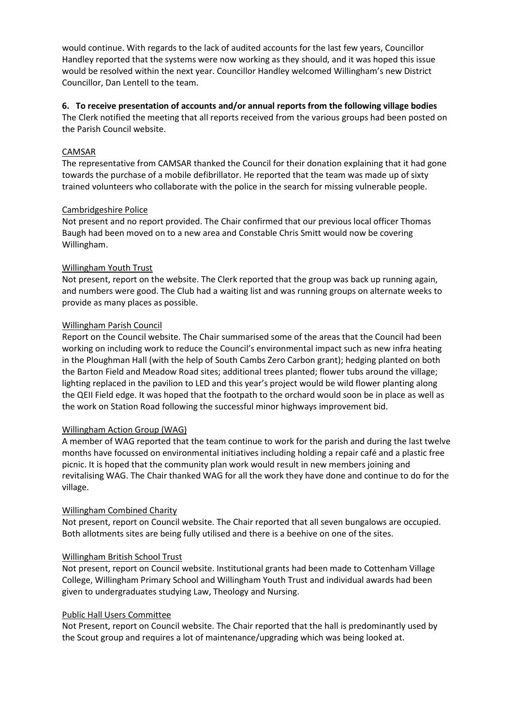would continue. With regards to the lack of audited accounts for the last few years, Councillor Handley reported that the systems were now working as they should, and it was hoped this issue would be resolved within the next year. Councillor Handley welcomed Willingham's new District Councillor, Dan Lentell to the team.

## **6. To receive presentation of accounts and/or annual reports from the following village bodies**

The Clerk notified the meeting that all reports received from the various groups had been posted on the Parish Council website.

## CAMSAR

The representative from CAMSAR thanked the Council for their donation explaining that it had gone towards the purchase of a mobile defibrillator. He reported that the team was made up of sixty trained volunteers who collaborate with the police in the search for missing vulnerable people.

## Cambridgeshire Police

Not present and no report provided. The Chair confirmed that our previous local officer Thomas Baugh had been moved on to a new area and Constable Chris Smitt would now be covering Willingham.

## Willingham Youth Trust

Not present, report on the website. The Clerk reported that the group was back up running again, and numbers were good. The Club had a waiting list and was running groups on alternate weeks to provide as many places as possible.

## Willingham Parish Council

Report on the Council website. The Chair summarised some of the areas that the Council had been working on including work to reduce the Council's environmental impact such as new infra heating in the Ploughman Hall (with the help of South Cambs Zero Carbon grant); hedging planted on both the Barton Field and Meadow Road sites; additional trees planted; flower tubs around the village; lighting replaced in the pavilion to LED and this year's project would be wild flower planting along the QEII Field edge. It was hoped that the footpath to the orchard would soon be in place as well as the work on Station Road following the successful minor highways improvement bid.

#### Willingham Action Group (WAG)

A member of WAG reported that the team continue to work for the parish and during the last twelve months have focussed on environmental initiatives including holding a repair café and a plastic free picnic. It is hoped that the community plan work would result in new members joining and revitalising WAG. The Chair thanked WAG for all the work they have done and continue to do for the village.

# Willingham Combined Charity

Not present, report on Council website. The Chair reported that all seven bungalows are occupied. Both allotments sites are being fully utilised and there is a beehive on one of the sites.

#### Willingham British School Trust

Not present, report on Council website. Institutional grants had been made to Cottenham Village College, Willingham Primary School and Willingham Youth Trust and individual awards had been given to undergraduates studying Law, Theology and Nursing.

#### Public Hall Users Committee

Not Present, report on Council website. The Chair reported that the hall is predominantly used by the Scout group and requires a lot of maintenance/upgrading which was being looked at.